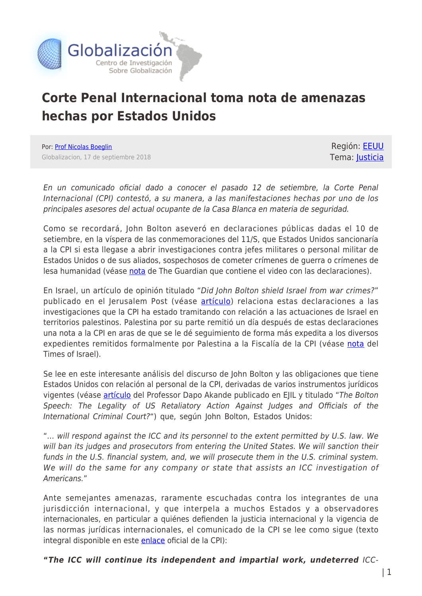

## **Corte Penal Internacional toma nota de amenazas hechas por Estados Unidos**

Por: [Prof Nicolas Boeglin](https://www.globalizacion.ca/author/nicolas-boeglin/) Globalizacion, 17 de septiembre 2018

Región: [EEUU](https://www.globalizacion.ca/region/eeuu/) Tema: [Justicia](https://www.globalizacion.ca/theme/justicia/)

En un comunicado oficial dado a conocer el pasado 12 de setiembre, la Corte Penal Internacional (CPI) contestó, a su manera, a las manifestaciones hechas por uno de los principales asesores del actual ocupante de la Casa Blanca en materia de seguridad.

Como se recordará, John Bolton aseveró en declaraciones públicas dadas el 10 de setiembre, en la víspera de las conmemoraciones del 11/S, que Estados Unidos sancionaría a la CPI si esta llegase a abrir investigaciones contra jefes militares o personal militar de Estados Unidos o de sus aliados, sospechosos de cometer crímenes de guerra o crímenes de lesa humanidad (véase [nota](https://www.theguardian.com/us-news/2018/sep/10/john-bolton-castigate-icc-washington-speech) de The Guardian que contiene el video con las declaraciones).

En Israel, un artículo de opinión titulado "Did John Bolton shield Israel from war crimes?" publicado en el Jerusalem Post (véase [artículo\)](https://www.jpost.com/International/Did-John-Bolton-shield-Israel-from-the-ICC-567088) relaciona estas declaraciones a las investigaciones que la CPI ha estado tramitando con relación a las actuaciones de Israel en territorios palestinos. Palestina por su parte remitió un día después de estas declaraciones una nota a la CPI en aras de que se le dé seguimiento de forma más expedita a los diversos expedientes remitidos formalmente por Palestina a la Fiscalía de la CPI (véase [nota](https://www.timesofisrael.com/palestinians-file-war-crimes-claim-at-icc-over-slated-razing-of-west-bank-hamlet/) del Times of Israel).

Se lee en este interesante análisis del discurso de John Bolton y las obligaciones que tiene Estados Unidos con relación al personal de la CPI, derivadas de varios instrumentos jurídicos vigentes (véase **artículo** del Professor Dapo Akande publicado en EJIL y titulado "The Bolton Speech: The Legality of US Retaliatory Action Against Judges and Officials of the International Criminal Court?") que, según John Bolton, Estados Unidos:

"… will respond against the ICC and its personnel to the extent permitted by U.S. law. We will ban its judges and prosecutors from entering the United States. We will sanction their funds in the U.S. financial system, and, we will prosecute them in the U.S. criminal system. We will do the same for any company or state that assists an ICC investigation of Americans."

Ante semejantes amenazas, raramente escuchadas contra los integrantes de una jurisdicción internacional, y que interpela a muchos Estados y a observadores internacionales, en particular a quiénes defienden la justicia internacional y la vigencia de las normas jurídicas internacionales, el comunicado de la CPI se lee como sigue (texto integral disponible en este **enlace** oficial de la CPI):

## **"***The ICC will continue its independent and impartial work, undeterred* ICC-